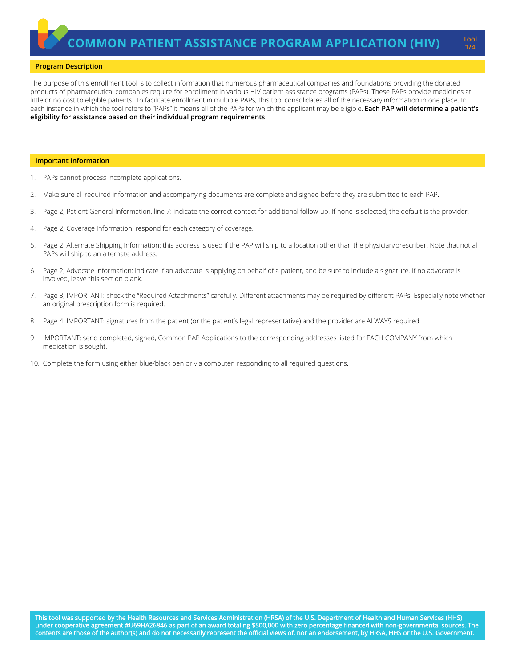### **Program Description**

The purpose of this enrollment tool is to collect information that numerous pharmaceutical companies and foundations providing the donated products of pharmaceutical companies require for enrollment in various HIV patient assistance programs (PAPs). These PAPs provide medicines at little or no cost to eligible patients. To facilitate enrollment in multiple PAPs, this tool consolidates all of the necessary information in one place. In each instance in which the tool refers to "PAPs" it means all of the PAPs for which the applicant may be eligible. **Each PAP will determine a patient's eligibility for assistance based on their individual program requirements**

#### **Important Information**

- 1. PAPs cannot process incomplete applications.
- 2. Make sure all required information and accompanying documents are complete and signed before they are submitted to each PAP.
- 3. Page 2, Patient General Information, line 7: indicate the correct contact for additional follow-up. If none is selected, the default is the provider.
- 4. Page 2, Coverage Information: respond for each category of coverage.
- 5. Page 2, Alternate Shipping Information: this address is used if the PAP will ship to a location other than the physician/prescriber. Note that not all PAPs will ship to an alternate address.
- 6. Page 2, Advocate Information: indicate if an advocate is applying on behalf of a patient, and be sure to include a signature. If no advocate is involved, leave this section blank.
- 7. Page 3, IMPORTANT: check the "Required Attachments" carefully. Different attachments may be required by different PAPs. Especially note whether an original prescription form is required.
- 8. Page 4, IMPORTANT: signatures from the patient (or the patient's legal representative) and the provider are ALWAYS required.
- 9. IMPORTANT: send completed, signed, Common PAP Applications to the corresponding addresses listed for EACH COMPANY from which medication is sought.
- 10. Complete the form using either blue/black pen or via computer, responding to all required questions.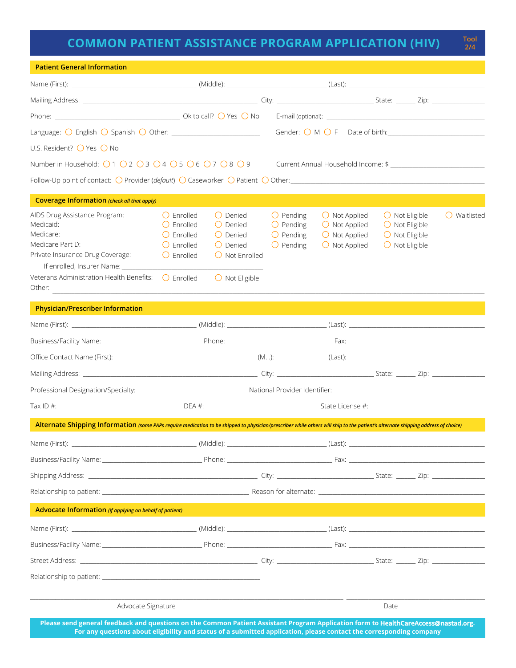# **COMMON PATIENT ASSISTANCE PROGRAM APPLICATION (HIV)**

**2/4**

| <b>Patient General Information</b>                                                                                                                                                                                            |                                                                                                         |                                                                                                                         |                                                                                      |                                                                                                      |                                                                                                          |                       |
|-------------------------------------------------------------------------------------------------------------------------------------------------------------------------------------------------------------------------------|---------------------------------------------------------------------------------------------------------|-------------------------------------------------------------------------------------------------------------------------|--------------------------------------------------------------------------------------|------------------------------------------------------------------------------------------------------|----------------------------------------------------------------------------------------------------------|-----------------------|
|                                                                                                                                                                                                                               |                                                                                                         |                                                                                                                         |                                                                                      |                                                                                                      |                                                                                                          |                       |
|                                                                                                                                                                                                                               |                                                                                                         |                                                                                                                         |                                                                                      |                                                                                                      |                                                                                                          |                       |
|                                                                                                                                                                                                                               |                                                                                                         |                                                                                                                         |                                                                                      |                                                                                                      |                                                                                                          |                       |
| Language: $\bigcirc$ English $\bigcirc$ Spanish $\bigcirc$ Other: ____________________________                                                                                                                                |                                                                                                         |                                                                                                                         |                                                                                      |                                                                                                      |                                                                                                          |                       |
| U.S. Resident? ◯ Yes ◯ No                                                                                                                                                                                                     |                                                                                                         |                                                                                                                         |                                                                                      |                                                                                                      |                                                                                                          |                       |
| Number in Household: $\bigcirc$ 1 $\bigcirc$ 2 $\bigcirc$ 3 $\bigcirc$ 4 $\bigcirc$ 5 $\bigcirc$ 6 $\bigcirc$ 7 $\bigcirc$ 8 $\bigcirc$ 9                                                                                     |                                                                                                         |                                                                                                                         |                                                                                      | Current Annual Household Income: \$                                                                  |                                                                                                          |                       |
| Follow-Up point of contact: O Provider (default) O Caseworker O Patient O Other: 1999 Content Content Content Content Content Content Content Content Content Content Content Content Content Content Content Content Content |                                                                                                         |                                                                                                                         |                                                                                      |                                                                                                      |                                                                                                          |                       |
| <b>Coverage Information (check all that apply)</b>                                                                                                                                                                            |                                                                                                         |                                                                                                                         |                                                                                      |                                                                                                      |                                                                                                          |                       |
| AIDS Drug Assistance Program:<br>Medicaid:<br>Medicare:<br>Medicare Part D:<br>Private Insurance Drug Coverage:<br>If enrolled, Insurer Name: ___________<br>Veterans Administration Health Benefits: $\bigcirc$ Enrolled     | () Fnrolled<br>$\bigcirc$ Enrolled<br>$\bigcirc$ Enrolled<br>$\bigcirc$ Enrolled<br>$\bigcirc$ Enrolled | () Denied<br>$\bigcirc$ Denied<br>$O$ Denied<br>$\bigcirc$ Denied<br>$\bigcirc$ Not Enrolled<br>$\bigcirc$ Not Eligible | $\bigcirc$ Pending<br>$\bigcirc$ Pending<br>$\bigcirc$ Pending<br>$\bigcirc$ Pending | $\bigcirc$ Not Applied<br>$\bigcirc$ Not Applied<br>$\bigcirc$ Not Applied<br>$\bigcirc$ Not Applied | $\bigcirc$ Not Eligible<br>$\bigcirc$ Not Eligible<br>$\bigcirc$ Not Eligible<br>$\bigcirc$ Not Eligible | $\bigcirc$ Waitlisted |
| Other:                                                                                                                                                                                                                        |                                                                                                         |                                                                                                                         |                                                                                      |                                                                                                      |                                                                                                          |                       |
| <b>Physician/Prescriber Information</b>                                                                                                                                                                                       |                                                                                                         |                                                                                                                         |                                                                                      |                                                                                                      |                                                                                                          |                       |
|                                                                                                                                                                                                                               |                                                                                                         |                                                                                                                         |                                                                                      |                                                                                                      |                                                                                                          |                       |
|                                                                                                                                                                                                                               |                                                                                                         |                                                                                                                         |                                                                                      |                                                                                                      |                                                                                                          |                       |
|                                                                                                                                                                                                                               |                                                                                                         |                                                                                                                         |                                                                                      |                                                                                                      |                                                                                                          |                       |
|                                                                                                                                                                                                                               |                                                                                                         |                                                                                                                         |                                                                                      |                                                                                                      |                                                                                                          |                       |
|                                                                                                                                                                                                                               |                                                                                                         |                                                                                                                         |                                                                                      |                                                                                                      |                                                                                                          |                       |
|                                                                                                                                                                                                                               |                                                                                                         |                                                                                                                         |                                                                                      |                                                                                                      |                                                                                                          |                       |
| Alternate Shipping Information (some PAPs require medication to be shipped to physician/prescriber while others will ship to the patient's alternate shipping address of choice)                                              |                                                                                                         |                                                                                                                         |                                                                                      |                                                                                                      |                                                                                                          |                       |
|                                                                                                                                                                                                                               |                                                                                                         |                                                                                                                         |                                                                                      |                                                                                                      |                                                                                                          |                       |
|                                                                                                                                                                                                                               |                                                                                                         |                                                                                                                         |                                                                                      |                                                                                                      |                                                                                                          |                       |
|                                                                                                                                                                                                                               |                                                                                                         |                                                                                                                         |                                                                                      |                                                                                                      |                                                                                                          |                       |
|                                                                                                                                                                                                                               |                                                                                                         |                                                                                                                         |                                                                                      |                                                                                                      |                                                                                                          |                       |
| Advocate Information (if applying on behalf of patient)                                                                                                                                                                       |                                                                                                         |                                                                                                                         |                                                                                      |                                                                                                      |                                                                                                          |                       |
|                                                                                                                                                                                                                               |                                                                                                         |                                                                                                                         |                                                                                      |                                                                                                      |                                                                                                          |                       |
|                                                                                                                                                                                                                               |                                                                                                         |                                                                                                                         |                                                                                      |                                                                                                      |                                                                                                          |                       |
|                                                                                                                                                                                                                               |                                                                                                         |                                                                                                                         |                                                                                      |                                                                                                      |                                                                                                          |                       |
| Relationship to patient: Note that the set of the set of the set of the set of the set of the set of the set o                                                                                                                |                                                                                                         |                                                                                                                         |                                                                                      |                                                                                                      |                                                                                                          |                       |
| Advocate Signature<br>Please send general feedback and questions on the Common Patient Assistant Program Application form to HealthCareAccess@nastad.org.                                                                     |                                                                                                         |                                                                                                                         |                                                                                      |                                                                                                      | Date                                                                                                     |                       |

**Please send general feedback and questions on the Common Patient Assistant Program Application form to HealthCareAccess@nastad.org. For any questions about eligibility and status of a submitted application, please contact the corresponding company**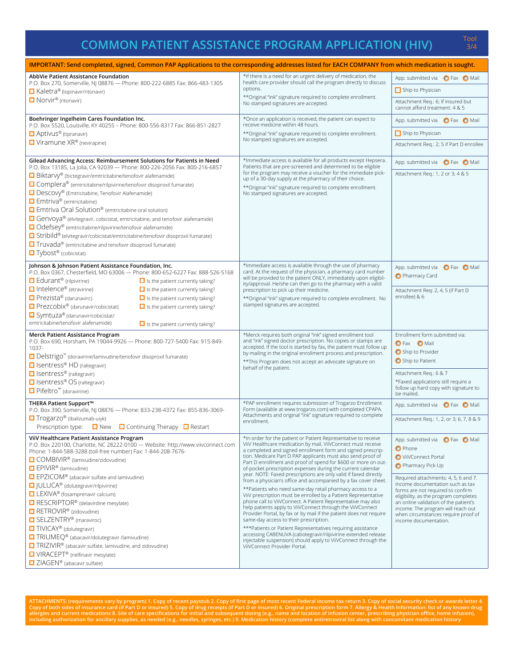## **COMMON PATIENT ASSISTANCE PROGRAM APPLICATION (HIV)**

| IMPORTANT: Send completed, signed, Common PAP Applications to the corresponding addresses listed for EACH COMPANY from which medication is sought.           |                                                                                                                                      |                                                                                |  |  |
|--------------------------------------------------------------------------------------------------------------------------------------------------------------|--------------------------------------------------------------------------------------------------------------------------------------|--------------------------------------------------------------------------------|--|--|
| AbbVie Patient Assistance Foundation<br>P.O. Box 270, Somerville, NJ 08876 - Phone: 800-222-6885 Fax: 866-483-1305                                           | *If there is a need for an urgent delivery of medication, the<br>health care provider should call the program directly to discuss    | App. submitted via <b>O</b> Fax <b>O</b> Mail                                  |  |  |
| □ Kaletra® (lopinavir/ritonavir)                                                                                                                             | options.                                                                                                                             | Ship to Physician                                                              |  |  |
| □ Norvir <sup>®</sup> (ritonavir)                                                                                                                            | ** Original "ink" signature required to complete enrollment.<br>No stamped signatures are accepted.                                  | Attachment Req.: 6; If insured but<br>cannot afford treatment: 4 & 5           |  |  |
| Boehringer Ingelheim Cares Foundation Inc.<br>P.O. Box 5520, Louisville, KY 40255 - Phone: 800-556-8317 Fax: 866-851-2827                                    | *Once an application is received, the patient can expect to<br>receive medicine within 48 hours.                                     | App. submitted via <b>O</b> Fax O Mail                                         |  |  |
| Aptivus <sup>®</sup> (tipranavir)                                                                                                                            | ** Original "ink" signature required to complete enrollment.                                                                         | $\Box$ Ship to Physician                                                       |  |  |
| $\Box$ Viramune XR® (nevirapine)                                                                                                                             | No stamped signatures are accepted.                                                                                                  | Attachment Reg.: 2; 5 if Part D enrollee                                       |  |  |
| Gilead Advancing Access: Reimbursement Solutions for Patients in Need<br>P.O. Box 13185, La Jolla, CA 92039 - Phone: 800-226-2056 Fax: 800-216-6857          | *Immediate access is available for all products except Hepsera.<br>Patients that are pre-screened and determined to be eligible      | App. submitted via <b>O</b> Fax O Mail                                         |  |  |
| □ Biktarvy® (bictegravir/emtricitabine/tenofovir alafenamide)                                                                                                | for the program may receive a voucher for the immediate pick-<br>up of a 30-day supply at the pharmacy of their choice.              | Attachment Reg.: 1, 2 or 3; 4 & 5                                              |  |  |
| □ Complera® (emtricitabine/rilpivirine/tenofovir disoproxil fumarate)                                                                                        | ** Original "ink" signature required to complete enrollment.                                                                         |                                                                                |  |  |
| Descovy® (Emtricitabine, Tenofovir Alafenamide)                                                                                                              | No stamped signatures are accepted.                                                                                                  |                                                                                |  |  |
| □ Emtriva <sup>®</sup> (emtricitabine)                                                                                                                       |                                                                                                                                      |                                                                                |  |  |
| $\Box$ Emtriva Oral Solution <sup>®</sup> (emtricitabine oral solution)<br>□ Genvoya® (elvitegravir, cobicistat, emtricitabine, and tenofovir alafenamide)   |                                                                                                                                      |                                                                                |  |  |
| □ Odefsey® (emtricitabine/rilpivirine/tenofovir alafenamide)                                                                                                 |                                                                                                                                      |                                                                                |  |  |
| □ Stribild® (elvitegravir/cobicistat/emtricitabine/tenofovir disoproxil fumarate)                                                                            |                                                                                                                                      |                                                                                |  |  |
| □ Truvada® (emtricitabine and tenofovir disoproxil fumarate)                                                                                                 |                                                                                                                                      |                                                                                |  |  |
| $\blacksquare$ Tybost® (cobicistat)                                                                                                                          |                                                                                                                                      |                                                                                |  |  |
| Johnson & Johnson Patient Assistance Foundation, Inc.                                                                                                        | *Immediate access is available through the use of pharmacy                                                                           | App. submitted via <b>O</b> Fax <b>O</b> Mail                                  |  |  |
| P.O. Box 0367, Chesterfield, MO 63006 - Phone: 800-652-6227 Fax: 888-526-5168                                                                                | card. At the request of the physician, a pharmacy card number<br>will be provided to the patient ONLY, immediately upon eligibil-    | Pharmacy Card                                                                  |  |  |
| $\Box$ Edurant <sup>®</sup> (rilpivirine)<br>$\Box$ is the patient currently taking?                                                                         | ity/approval. He/she can then go to the pharmacy with a valid                                                                        |                                                                                |  |  |
| $\Box$ Intelence <sup>®</sup> (etravirine)<br>$\Box$ is the patient currently taking?<br>□ Prezista® (darunavirc)<br>$\Box$ is the patient currently taking? | prescription to pick up their medicine.                                                                                              | Attachment Reg: 2, 4, 5 (if Part D<br>enrollee) & 6                            |  |  |
| □ Prezcobix <sup>®</sup> (darunavir/cobicistat)<br>$\Box$ is the patient currently taking?                                                                   | ** Original "ink" signature required to complete enrollment. No<br>stamped signatures are accepted.                                  |                                                                                |  |  |
| Symtuza® (darunavir/cobicistat/                                                                                                                              |                                                                                                                                      |                                                                                |  |  |
| emtricitabine/tenofovir alafenamide)<br>$\Box$ is the patient currently taking?                                                                              |                                                                                                                                      |                                                                                |  |  |
| Merck Patient Assistance Program                                                                                                                             | *Merck requires both original "ink" signed enrollment tool                                                                           | Enrollment form submitted via:                                                 |  |  |
| P.O. Box 690, Horsham, PA 19044-9926 - Phone: 800-727-5400 Fax: 915-849-<br>$1037 -$                                                                         | and "ink" signed doctor prescription. No copies or stamps are<br>accepted. If the tool is started by fax, the patient must follow up | <b>O</b> Fax <b>O</b> Mail                                                     |  |  |
| □ Delstrigo <sup>™</sup> (doravirine/lamivudine/tenofovir disoproxil fumarate)                                                                               | by mailing in the original enrollment process and prescription.                                                                      | Ship to Provider                                                               |  |  |
| □ Isentress <sup>®</sup> HD (raltegravir)                                                                                                                    | ** This Program does not accept an advocate signature on<br>behalf of the patient.                                                   | Ship to Patient                                                                |  |  |
| $\Box$ Isentress® (raltegravir)                                                                                                                              |                                                                                                                                      | Attachment Req.: 6 & 7                                                         |  |  |
| □ Isentress® OS (raltegravir)                                                                                                                                |                                                                                                                                      | *Faxed applications still require a                                            |  |  |
| $\Box$ Pifeltro <sup>"</sup> (doravirine)                                                                                                                    |                                                                                                                                      | follow up hard copy with signature to<br>be mailed.                            |  |  |
| THERA Patient Support™<br>P.O. Box 390, Somerville, NJ 08876 - Phone: 833-238-4372 Fax: 855-836-3069-                                                        | *PAP enrollment requires submission of Trogarzo Enrollment<br>Form (available at www.trogarzo.com) with completed CPAPA.             | App. submitted via <b>O</b> Fax O Mail                                         |  |  |
| Trogarzo® (ibalizumab-uiyk)                                                                                                                                  | Attachments and original "ink" signature required to complete<br>enrollment.                                                         | Attachment Req.: 1, 2, or 3; 6, 7, 8 & 9                                       |  |  |
| Prescription type: $\Box$ New $\Box$ Continuing Therapy $\Box$ Restart                                                                                       |                                                                                                                                      |                                                                                |  |  |
| ViiV Healthcare Patient Assistance Program<br>P.O. Box 220100, Charlotte, NC 28222-0100 - Website: http://www.viivconnect.com                                | *In order for the patient or Patient Representative to receive<br>ViiV Healthcare medication by mail, ViiVConnect must receive       | App. submitted via C Fax O Mail                                                |  |  |
| Phone: 1-844-588-3288 (toll-free number) Fax: 1-844-208-7676-                                                                                                | a completed and signed enrollment form and signed prescrip-                                                                          | <b>O</b> Phone                                                                 |  |  |
| □ COMBIVIR <sup>®</sup> (lamivudine/zidovudine)                                                                                                              | tion. Medicare Part D PAP applicants must also send proof of<br>Part D enrollment and proof of spend for \$600 or more on out-       | ViiVConnect Portal                                                             |  |  |
| □ EPIVIR <sup>®</sup> (lamivudine)                                                                                                                           | of-pocket prescription expenses during the current calendar<br>year. NOTE: Faxed prescriptions are only valid if faxed directly      | Pharmacy Pick-Up                                                               |  |  |
| □ EPZICOM <sup>®</sup> (abacavir sulfate and lamivudine)                                                                                                     | from a physician's office and accompanied by a fax cover sheet.                                                                      | Required attachments: 4, 5, 6 and 7.<br>Income documentation such as tax       |  |  |
| □  ULUCA <sup>®</sup> (dolutegravir/rilpivirine)<br>$\Box$ LEXIVA <sup>®</sup> (fosamprenavir calcium)                                                       | **Patients who need same-day retail pharmacy access to a                                                                             | forms are not required to confirm                                              |  |  |
| □ RESCRIPTOR <sup>®</sup> (delavirdine mesylate)                                                                                                             | ViiV prescription must be enrolled by a Patient Representative<br>phone call to ViiVConnect. A Patient Representative may also       | eligibility, as the program completes<br>an online validation of the patient's |  |  |
| RETROVIR <sup>®</sup> (zidovudine)                                                                                                                           | help patients apply to ViiVConnect through the ViiVConnect                                                                           | income. The program will reach out                                             |  |  |
| SELZENTRY <sup>®</sup> (maraviroc)                                                                                                                           | Provider Portal, by fax or by mail if the patient does not require<br>same-day access to their prescription.                         | when circumstances require proof of<br>income documentation.                   |  |  |
| □ TIVICAY <sup>®</sup> (dolutegravir)                                                                                                                        | ***Patients or Patient Representatives requiring assistance                                                                          |                                                                                |  |  |
| □ TRIUMEQ <sup>®</sup> (abacavir/dolutegravir /lamivudine)                                                                                                   | accessing CABENUVA (cabotegravir/rilpivirine extended release<br>injectable suspension) should apply to ViiVConnect through the      |                                                                                |  |  |
| $\Box$ TRIZIVIR <sup>®</sup> (abacavir sulfate, lamivudine, and zidovudine)                                                                                  | ViiVConnect Provider Portal.                                                                                                         |                                                                                |  |  |
| □ VIRACEPT <sup>®</sup> (nelfinavir mesylate)                                                                                                                |                                                                                                                                      |                                                                                |  |  |
| □ ZIAGEN® (abacavir sulfate)                                                                                                                                 |                                                                                                                                      |                                                                                |  |  |

ATTACHMENTS: (requirements vary by program) 1. Copy of recent paystub 2. Copy of first page of most recent Federal income tax return 3. Copy of social security check or awards letter 4.<br>allergies and current medications 8.